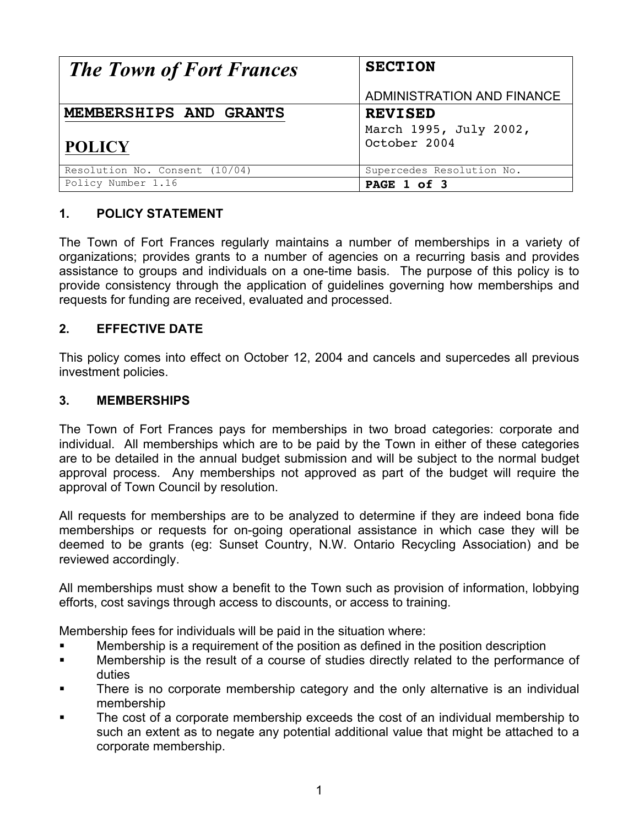| <b>The Town of Fort Frances</b> | <b>SECTION</b>             |
|---------------------------------|----------------------------|
|                                 | ADMINISTRATION AND FINANCE |
| MEMBERSHIPS AND GRANTS          | <b>REVISED</b>             |
|                                 | March 1995, July 2002,     |
| <b>POLICY</b>                   | October 2004               |
| Resolution No. Consent (10/04)  | Supercedes Resolution No.  |
| Policy Number 1.16              | PAGE 1 of 3                |

## **1. POLICY STATEMENT**

The Town of Fort Frances regularly maintains a number of memberships in a variety of organizations; provides grants to a number of agencies on a recurring basis and provides assistance to groups and individuals on a one-time basis. The purpose of this policy is to provide consistency through the application of guidelines governing how memberships and requests for funding are received, evaluated and processed.

## **2. EFFECTIVE DATE**

This policy comes into effect on October 12, 2004 and cancels and supercedes all previous investment policies.

## **3. MEMBERSHIPS**

The Town of Fort Frances pays for memberships in two broad categories: corporate and individual. All memberships which are to be paid by the Town in either of these categories are to be detailed in the annual budget submission and will be subject to the normal budget approval process. Any memberships not approved as part of the budget will require the approval of Town Council by resolution.

All requests for memberships are to be analyzed to determine if they are indeed bona fide memberships or requests for on-going operational assistance in which case they will be deemed to be grants (eg: Sunset Country, N.W. Ontario Recycling Association) and be reviewed accordingly.

All memberships must show a benefit to the Town such as provision of information, lobbying efforts, cost savings through access to discounts, or access to training.

Membership fees for individuals will be paid in the situation where:

- ! Membership is a requirement of the position as defined in the position description
- ! Membership is the result of a course of studies directly related to the performance of duties
- There is no corporate membership category and the only alternative is an individual membership
- The cost of a corporate membership exceeds the cost of an individual membership to such an extent as to negate any potential additional value that might be attached to a corporate membership.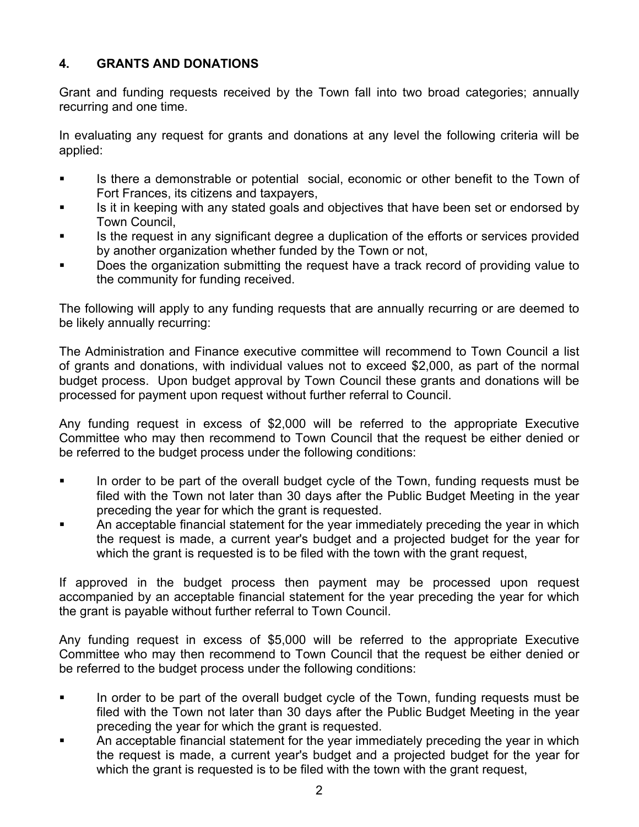## **4. GRANTS AND DONATIONS**

Grant and funding requests received by the Town fall into two broad categories; annually recurring and one time.

In evaluating any request for grants and donations at any level the following criteria will be applied:

- ! Is there a demonstrable or potential social, economic or other benefit to the Town of Fort Frances, its citizens and taxpayers,
- ! Is it in keeping with any stated goals and objectives that have been set or endorsed by Town Council,
- ! Is the request in any significant degree a duplication of the efforts or services provided by another organization whether funded by the Town or not,
- Does the organization submitting the request have a track record of providing value to the community for funding received.

The following will apply to any funding requests that are annually recurring or are deemed to be likely annually recurring:

The Administration and Finance executive committee will recommend to Town Council a list of grants and donations, with individual values not to exceed \$2,000, as part of the normal budget process. Upon budget approval by Town Council these grants and donations will be processed for payment upon request without further referral to Council.

Any funding request in excess of \$2,000 will be referred to the appropriate Executive Committee who may then recommend to Town Council that the request be either denied or be referred to the budget process under the following conditions:

- ! In order to be part of the overall budget cycle of the Town, funding requests must be filed with the Town not later than 30 days after the Public Budget Meeting in the year preceding the year for which the grant is requested.
- An acceptable financial statement for the year immediately preceding the year in which the request is made, a current year's budget and a projected budget for the year for which the grant is requested is to be filed with the town with the grant request,

If approved in the budget process then payment may be processed upon request accompanied by an acceptable financial statement for the year preceding the year for which the grant is payable without further referral to Town Council.

Any funding request in excess of \$5,000 will be referred to the appropriate Executive Committee who may then recommend to Town Council that the request be either denied or be referred to the budget process under the following conditions:

- In order to be part of the overall budget cycle of the Town, funding requests must be filed with the Town not later than 30 days after the Public Budget Meeting in the year preceding the year for which the grant is requested.
- An acceptable financial statement for the year immediately preceding the year in which the request is made, a current year's budget and a projected budget for the year for which the grant is requested is to be filed with the town with the grant request,